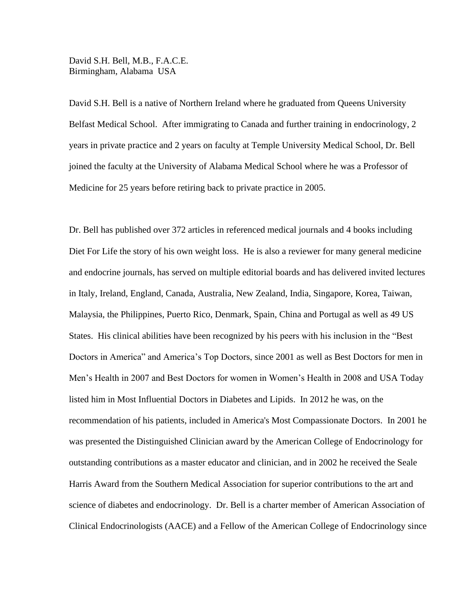David S.H. Bell, M.B., F.A.C.E. Birmingham, Alabama USA

David S.H. Bell is a native of Northern Ireland where he graduated from Queens University Belfast Medical School. After immigrating to Canada and further training in endocrinology, 2 years in private practice and 2 years on faculty at Temple University Medical School, Dr. Bell joined the faculty at the University of Alabama Medical School where he was a Professor of Medicine for 25 years before retiring back to private practice in 2005.

Dr. Bell has published over 372 articles in referenced medical journals and 4 books including Diet For Life the story of his own weight loss. He is also a reviewer for many general medicine and endocrine journals, has served on multiple editorial boards and has delivered invited lectures in Italy, Ireland, England, Canada, Australia, New Zealand, India, Singapore, Korea, Taiwan, Malaysia, the Philippines, Puerto Rico, Denmark, Spain, China and Portugal as well as 49 US States. His clinical abilities have been recognized by his peers with his inclusion in the "Best Doctors in America" and America's Top Doctors, since 2001 as well as Best Doctors for men in Men's Health in 2007 and Best Doctors for women in Women's Health in 2008 and USA Today listed him in Most Influential Doctors in Diabetes and Lipids. In 2012 he was, on the recommendation of his patients, included in America's Most Compassionate Doctors. In 2001 he was presented the Distinguished Clinician award by the American College of Endocrinology for outstanding contributions as a master educator and clinician, and in 2002 he received the Seale Harris Award from the Southern Medical Association for superior contributions to the art and science of diabetes and endocrinology. Dr. Bell is a charter member of American Association of Clinical Endocrinologists (AACE) and a Fellow of the American College of Endocrinology since